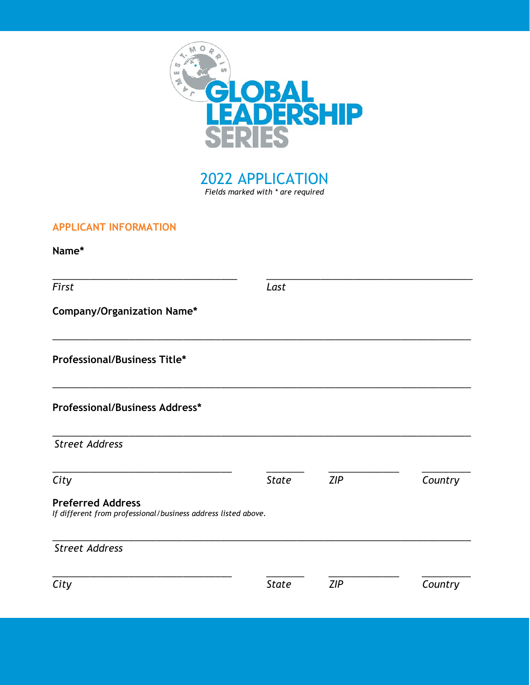

2022 APPLICATION Fields marked with \* are required

## APPLICANT INFORMATION

Name\*

\_\_\_\_\_\_\_\_\_\_\_\_\_\_\_\_\_\_\_\_\_\_\_\_\_\_\_\_\_\_\_\_\_\_ \_\_\_\_\_\_\_\_\_\_\_\_\_\_\_\_\_\_\_\_\_\_\_\_\_\_\_\_\_\_\_\_\_\_\_\_\_\_ First Last Company/Organization Name\* \_\_\_\_\_\_\_\_\_\_\_\_\_\_\_\_\_\_\_\_\_\_\_\_\_\_\_\_\_\_\_\_\_\_\_\_\_\_\_\_\_\_\_\_\_\_\_\_\_\_\_\_\_\_\_\_\_\_\_\_\_\_\_\_\_\_\_\_\_\_\_\_\_\_\_\_\_ Professional/Business Title\* \_\_\_\_\_\_\_\_\_\_\_\_\_\_\_\_\_\_\_\_\_\_\_\_\_\_\_\_\_\_\_\_\_\_\_\_\_\_\_\_\_\_\_\_\_\_\_\_\_\_\_\_\_\_\_\_\_\_\_\_\_\_\_\_\_\_\_\_\_\_\_\_\_\_\_\_\_ Professional/Business Address\* \_\_\_\_\_\_\_\_\_\_\_\_\_\_\_\_\_\_\_\_\_\_\_\_\_\_\_\_\_\_\_\_\_\_\_\_\_\_\_\_\_\_\_\_\_\_\_\_\_\_\_\_\_\_\_\_\_\_\_\_\_\_\_\_\_\_\_\_\_\_\_\_\_\_\_\_\_ Street Address \_\_\_\_\_\_\_\_\_\_\_\_\_\_\_\_\_\_\_\_\_\_\_\_\_\_\_\_\_\_\_\_\_ \_\_\_\_\_\_\_ \_\_\_\_\_\_\_\_\_\_\_\_\_ \_\_\_\_\_\_\_\_\_ City State ZIP Country Preferred Address If different from professional/business address listed above. \_\_\_\_\_\_\_\_\_\_\_\_\_\_\_\_\_\_\_\_\_\_\_\_\_\_\_\_\_\_\_\_\_\_\_\_\_\_\_\_\_\_\_\_\_\_\_\_\_\_\_\_\_\_\_\_\_\_\_\_\_\_\_\_\_\_\_\_\_\_\_\_\_\_\_\_\_ Street Address \_\_\_\_\_\_\_\_\_\_\_\_\_\_\_\_\_\_\_\_\_\_\_\_\_\_\_\_\_\_\_\_\_ \_\_\_\_\_\_\_ \_\_\_\_\_\_\_\_\_\_\_\_\_ \_\_\_\_\_\_\_\_\_ City State ZIP Country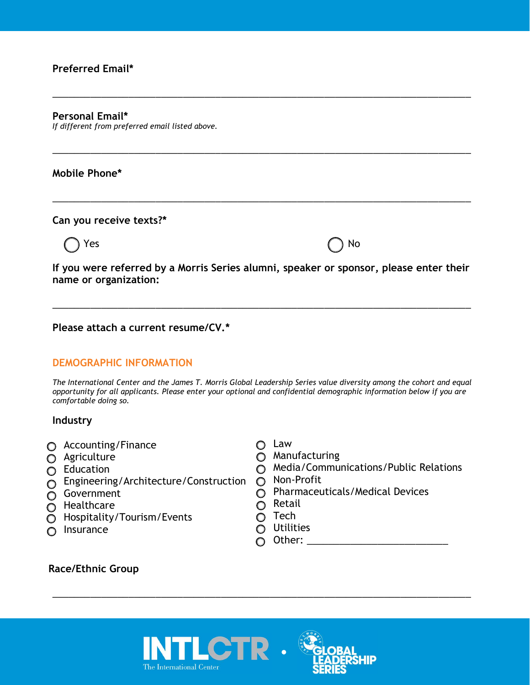## Preferred Email\*

#### Personal Email\*

If different from preferred email listed above.

## Mobile Phone\*

Can you receive texts?\*

o Yes and Yes of No. 2012. The Contract of No. 2012. The Contract of No. 2012. The Contract of No. 2013. The Co

If you were referred by a Morris Series alumni, speaker or sponsor, please enter their name or organization:

\_\_\_\_\_\_\_\_\_\_\_\_\_\_\_\_\_\_\_\_\_\_\_\_\_\_\_\_\_\_\_\_\_\_\_\_\_\_\_\_\_\_\_\_\_\_\_\_\_\_\_\_\_\_\_\_\_\_\_\_\_\_\_\_\_\_\_\_\_\_\_\_\_\_\_\_\_

\_\_\_\_\_\_\_\_\_\_\_\_\_\_\_\_\_\_\_\_\_\_\_\_\_\_\_\_\_\_\_\_\_\_\_\_\_\_\_\_\_\_\_\_\_\_\_\_\_\_\_\_\_\_\_\_\_\_\_\_\_\_\_\_\_\_\_\_\_\_\_\_\_\_\_\_\_

\_\_\_\_\_\_\_\_\_\_\_\_\_\_\_\_\_\_\_\_\_\_\_\_\_\_\_\_\_\_\_\_\_\_\_\_\_\_\_\_\_\_\_\_\_\_\_\_\_\_\_\_\_\_\_\_\_\_\_\_\_\_\_\_\_\_\_\_\_\_\_\_\_\_\_\_\_

\_\_\_\_\_\_\_\_\_\_\_\_\_\_\_\_\_\_\_\_\_\_\_\_\_\_\_\_\_\_\_\_\_\_\_\_\_\_\_\_\_\_\_\_\_\_\_\_\_\_\_\_\_\_\_\_\_\_\_\_\_\_\_\_\_\_\_\_\_\_\_\_\_\_\_\_\_

### Please attach a current resume/CV.\*

## DEMOGRAPHIC INFORMATION

The International Center and the James T. Morris Global Leadership Series value diversity among the cohort and equal opportunity for all applicants. Please enter your optional and confidential demographic information below if you are comfortable doing so.

#### Industry

- o Accounting/Finance
- o Agriculture
- o Education
- $\tilde{O}$  Engineering/Architecture/Construction  $O$  Non-Profit
- o Government
- **O** Healthcare
- o Hospitality/Tourism/Events
- o Insurance
- o Law
- O Manufacturing
- o Media/Communications/Public Relations
- 
- o Pharmaceuticals/Medical Devices
- o Retail
- O Tech
- o Utilities
- $\bigcap$  Other:

\_\_\_\_\_\_\_\_\_\_\_\_\_\_\_\_\_\_\_\_\_\_\_\_\_\_\_\_\_\_\_\_\_\_\_\_\_\_\_\_\_\_\_\_\_\_\_\_\_\_\_\_\_\_\_\_\_\_\_\_\_\_\_\_\_\_\_\_\_\_\_\_\_\_\_\_\_

## Race/Ethnic Group



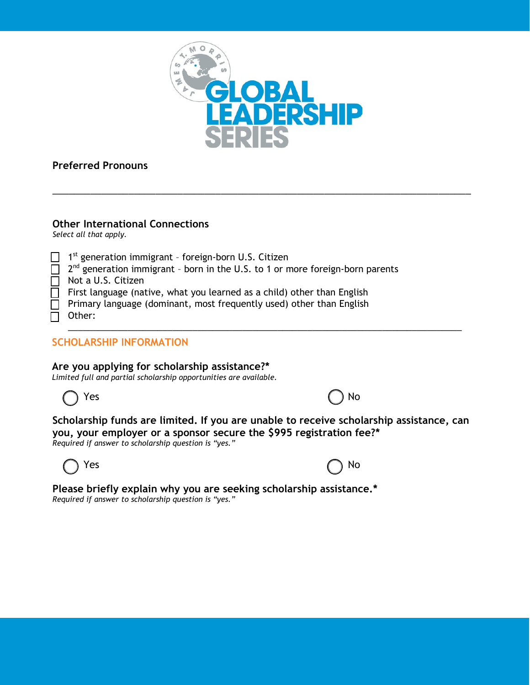

\_\_\_\_\_\_\_\_\_\_\_\_\_\_\_\_\_\_\_\_\_\_\_\_\_\_\_\_\_\_\_\_\_\_\_\_\_\_\_\_\_\_\_\_\_\_\_\_\_\_\_\_\_\_\_\_\_\_\_\_\_\_\_\_\_\_\_\_\_\_\_\_\_\_\_\_\_

# Preferred Pronouns

## Other International Connections

Select all that apply.

| $\Box$ 1 <sup>st</sup> generation immigrant - foreign-born U.S. Citizen                          |
|--------------------------------------------------------------------------------------------------|
| $\Box$ 2 <sup>nd</sup> generation immigrant - born in the U.S. to 1 or more foreign-born parents |
| $\Box$ Not a U.S. Citizen                                                                        |
| $\Box$ First language (native, what you learned as a child) other than English                   |
| $\Box$ Primary language (dominant, most frequently used) other than English                      |
| $\Box$ Other:                                                                                    |
|                                                                                                  |

# SCHOLARSHIP INFORMATION

## Are you applying for scholarship assistance?\*

*Limited full and partial scholarship opportunities are available.*



| N٥ |
|----|
|----|

#### Scholarship funds are limited. If you are unable to receive scholarship assistance, can you, your employer or a sponsor secure the \$995 registration fee?\* Required if answer to scholarship question is "yes."

 $\bigcap$  Yes  $\bigcap$  No

Please briefly explain why you are seeking scholarship assistance.\* Required if answer to scholarship question is "yes."